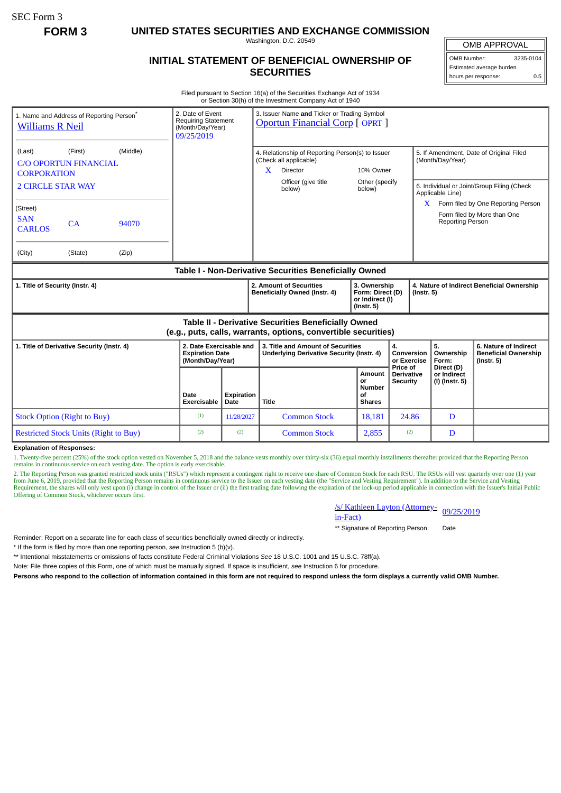SEC Form 3

**FORM 3 UNITED STATES SECURITIES AND EXCHANGE COMMISSION**

Washington, D.C. 20549

## **INITIAL STATEMENT OF BENEFICIAL OWNERSHIP OF SECURITIES**

Estimated average burden hours per response: 0.5

Filed pursuant to Section 16(a) of the Securities Exchange Act of 1934 or Section 30(h) of the Investment Company Act of 1940

| 1. Name and Address of Reporting Person <sup>®</sup><br><b>Williams R Neil</b>                                        |         |       | 2. Date of Event<br><b>Requiring Statement</b><br>(Month/Day/Year)<br>09/25/2019 |                                                          | 3. Issuer Name and Ticker or Trading Symbol<br><b>Oportun Financial Corp [ OPRT ]</b> |                                                                                                                         |                                                      |                                                                |                                                                                                                               |                                                                          |  |
|-----------------------------------------------------------------------------------------------------------------------|---------|-------|----------------------------------------------------------------------------------|----------------------------------------------------------|---------------------------------------------------------------------------------------|-------------------------------------------------------------------------------------------------------------------------|------------------------------------------------------|----------------------------------------------------------------|-------------------------------------------------------------------------------------------------------------------------------|--------------------------------------------------------------------------|--|
| (Middle)<br>(First)<br>(Last)<br><b>C/O OPORTUN FINANCIAL</b><br><b>CORPORATION</b><br><b>2 CIRCLE STAR WAY</b>       |         |       |                                                                                  |                                                          | X                                                                                     | 4. Relationship of Reporting Person(s) to Issuer<br>(Check all applicable)<br>Director<br>Officer (give title<br>below) | 10% Owner<br>Other (specify<br>below)                |                                                                | 5. If Amendment, Date of Original Filed<br>(Month/Day/Year)<br>6. Individual or Joint/Group Filing (Check<br>Applicable Line) |                                                                          |  |
| (Street)<br><b>SAN</b><br>CA<br>94070<br><b>CARLOS</b>                                                                |         |       |                                                                                  |                                                          |                                                                                       |                                                                                                                         |                                                      |                                                                | $\mathbf{X}$<br><b>Reporting Person</b>                                                                                       | Form filed by One Reporting Person<br>Form filed by More than One        |  |
| (City)                                                                                                                | (State) | (Zip) |                                                                                  |                                                          |                                                                                       |                                                                                                                         |                                                      |                                                                |                                                                                                                               |                                                                          |  |
| Table I - Non-Derivative Securities Beneficially Owned                                                                |         |       |                                                                                  |                                                          |                                                                                       |                                                                                                                         |                                                      |                                                                |                                                                                                                               |                                                                          |  |
| 1. Title of Security (Instr. 4)                                                                                       |         |       |                                                                                  | 2. Amount of Securities<br>Beneficially Owned (Instr. 4) |                                                                                       | 3. Ownership<br>Form: Direct (D)<br>or Indirect (I)<br>$($ lnstr. 5 $)$                                                 |                                                      | 4. Nature of Indirect Beneficial Ownership<br>$($ Instr. 5 $)$ |                                                                                                                               |                                                                          |  |
| Table II - Derivative Securities Beneficially Owned<br>(e.g., puts, calls, warrants, options, convertible securities) |         |       |                                                                                  |                                                          |                                                                                       |                                                                                                                         |                                                      |                                                                |                                                                                                                               |                                                                          |  |
| 1. Title of Derivative Security (Instr. 4)                                                                            |         |       | 2. Date Exercisable and<br><b>Expiration Date</b><br>(Month/Day/Year)            |                                                          |                                                                                       | 3. Title and Amount of Securities<br>Underlying Derivative Security (Instr. 4)                                          |                                                      | 4.<br>Conversion<br>or Exercise                                | 5.<br>Ownership<br>Form:                                                                                                      | 6. Nature of Indirect<br><b>Beneficial Ownership</b><br>$($ lnstr. 5 $)$ |  |
|                                                                                                                       |         |       | Date<br><b>Exercisable</b>                                                       | Expiration<br>Date                                       | <b>Title</b>                                                                          |                                                                                                                         | Amount<br>or<br><b>Number</b><br>οf<br><b>Shares</b> | Price of<br><b>Derivative</b><br>Security                      | Direct (D)<br>or Indirect<br>(I) (Instr. 5)                                                                                   |                                                                          |  |
| <b>Stock Option (Right to Buy)</b>                                                                                    |         |       | (1)                                                                              | 11/28/2027                                               |                                                                                       | <b>Common Stock</b>                                                                                                     | 18.181                                               | 24.86                                                          | D                                                                                                                             |                                                                          |  |
| <b>Restricted Stock Units (Right to Buy)</b>                                                                          |         | (2)   | (2)                                                                              |                                                          | <b>Common Stock</b>                                                                   | 2,855                                                                                                                   | (2)                                                  | D                                                              |                                                                                                                               |                                                                          |  |

**Explanation of Responses:**

1. Twenty-five percent (25%) of the stock option vested on November 5, 2018 and the balance vests monthly over thirty-six (36) equal monthly installments thereafter provided that the Reporting Person remains in continuous service on each vesting date. The option is early exercisable.

2. The Reporting Person was granted restricted stock units ("RSUs") which represent a contingent right to receive one share of Common Stock for each RSU. The RSUs will vest quarterly over one (1) year<br>from June 6, 2019, pr Requirement, the shares will only vest upon (i) change in control of the Issuer or (ii) the first trading date following the expiration of the lock-up period applicable in connection with the Issuer's Initial Public Offering of Common Stock, whichever occurs first.

/s/ Kathleen Layton (Attorney-<br>in-Fact)

\*\* Signature of Reporting Person Date

Reminder: Report on a separate line for each class of securities beneficially owned directly or indirectly.

\* If the form is filed by more than one reporting person, *see* Instruction 5 (b)(v).

\*\* Intentional misstatements or omissions of facts constitute Federal Criminal Violations *See* 18 U.S.C. 1001 and 15 U.S.C. 78ff(a).

Note: File three copies of this Form, one of which must be manually signed. If space is insufficient, *see* Instruction 6 for procedure.

**Persons who respond to the collection of information contained in this form are not required to respond unless the form displays a currently valid OMB Number.**

OMB APPROVAL

OMB Number: 3235-0104